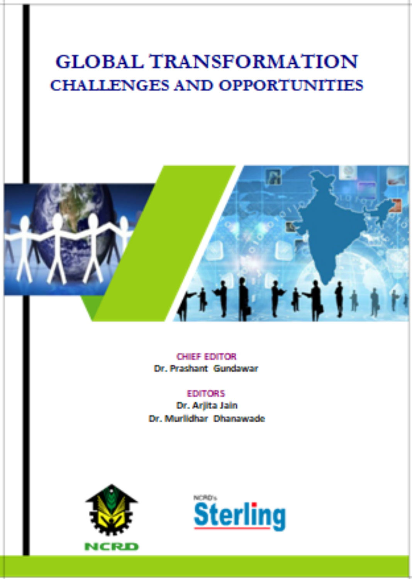#### **GLOBAL TRANSFORMATION CHALLENGES AND OPPORTUNITIES**



CHIEF EDITOR Dr. Prashant Gundawar

**EDITORS** Dr. Arilta Jain Dr. Murlidhar, Dhanawade



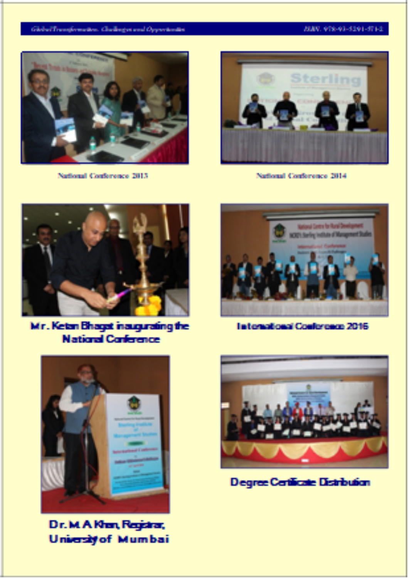#### GlobalTransformation. Challinger and Opportunities

#### 898.978-93-5291-571-2



National Conference 2013



National Conference 2014



Mr. Ketan Bhagat inaugurating the **National Conference** 



International Conference 2016



Dr. M A Khan, Registrar, **University of Mumbai** 



**Degree Certificate Distribution**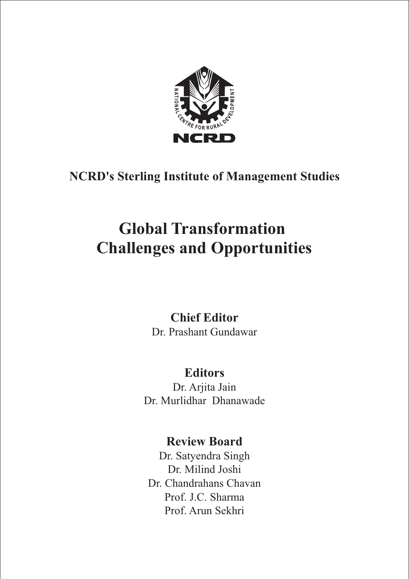

# **NCRD's Sterling Institute of Management Studies**

# **Global Transformation Challenges and Opportunities**

## **Chief Editor** Dr. Prashant Gundawar

# **Editors**

Dr. Arjita Jain Dr. Murlidhar Dhanawade

# **Review Board**

Dr. Satyendra Singh Dr. Milind Joshi Dr. Chandrahans Chavan Prof. J.C. Sharma Prof. Arun Sekhri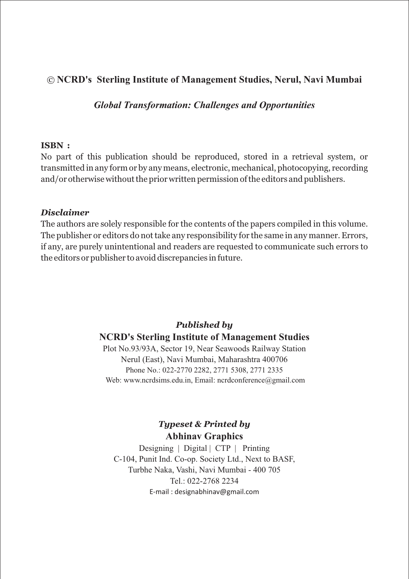#### © **NCRD's Sterling Institute of Management Studies, Nerul, Navi Mumbai**

*Global Transformation: Challenges and Opportunities*

#### **ISBN :**

No part of this publication should be reproduced, stored in a retrieval system, or transmitted in any form or by any means, electronic, mechanical, photocopying, recording and/or otherwise without the prior written permission of the editors and publishers.

#### *Disclaimer*

The authors are solely responsible for the contents of the papers compiled in this volume. The publisher or editors do not take any responsibility for the same in any manner. Errors, if any, are purely unintentional and readers are requested to communicate such errors to the editors or publisher to avoid discrepancies in future.

#### *Published by* **NCRD's Sterling Institute of Management Studies**

Plot No.93/93A, Sector 19, Near Seawoods Railway Station Nerul (East), Navi Mumbai, Maharashtra 400706 Phone No.: 022-2770 2282, 2771 5308, 2771 2335 Web: www.ncrdsims.edu.in, Email: ncrdconference@gmail.com

### *Typeset & Printed by* **Abhinav Graphics**

Designing | Digital | CTP | Printing C-104, Punit Ind. Co-op. Society Ltd., Next to BASF, Turbhe Naka, Vashi, Navi Mumbai - 400 705 Tel $.022 - 2768$  2234 E-mail : designabhinav@gmail.com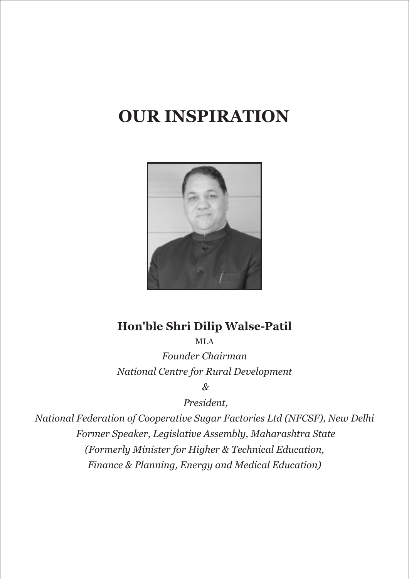# **OUR INSPIRATION**



# **Hon'ble Shri Dilip Walse-Patil**

MLA *Founder Chairman National Centre for Rural Development*

 *&*

 *President,* 

*National Federation of Cooperative Sugar Factories Ltd (NFCSF), New Delhi Former Speaker, Legislative Assembly, Maharashtra State (Formerly Minister for Higher & Technical Education, Finance & Planning, Energy and Medical Education)*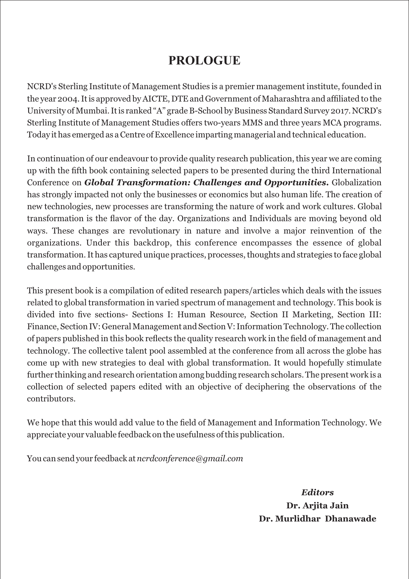# **PROLOGUE**

NCRD's Sterling Institute of Management Studies is a premier management institute, founded in the year 2004. It is approved by AICTE, DTE and Government of Maharashtra and afliated to the University of Mumbai. It is ranked "A" grade B-School by Business Standard Survey 2017. NCRD's Sterling Institute of Management Studies offers two-years MMS and three years MCA programs. Today it has emerged as a Centre of Excellence imparting managerial and technical education.

In continuation of our endeavour to provide quality research publication, this year we are coming up with the fth book containing selected papers to be presented during the third International Conference on *Global Transformation: Challenges and Opportunities.* Globalization has strongly impacted not only the businesses or economics but also human life. The creation of new technologies, new processes are transforming the nature of work and work cultures. Global transformation is the flavor of the day. Organizations and Individuals are moving beyond old ways. These changes are revolutionary in nature and involve a major reinvention of the organizations. Under this backdrop, this conference encompasses the essence of global transformation. It has captured unique practices, processes, thoughts and strategies to face global challenges and opportunities.

This present book is a compilation of edited research papers/articles which deals with the issues related to global transformation in varied spectrum of management and technology. This book is divided into five sections- Sections I: Human Resource, Section II Marketing, Section III: Finance, Section IV: General Management and Section V: Information Technology. The collection of papers published in this book reflects the quality research work in the field of management and technology. The collective talent pool assembled at the conference from all across the globe has come up with new strategies to deal with global transformation. It would hopefully stimulate further thinking and research orientation among budding research scholars. The present work is a collection of selected papers edited with an objective of deciphering the observations of the contributors.

We hope that this would add value to the field of Management and Information Technology. We appreciate your valuable feedback on the usefulness of this publication.

You can send your feedback at *ncrdconference@gmail.com*

*Editors* **Dr. Arjita Jain Dr. Murlidhar Dhanawade**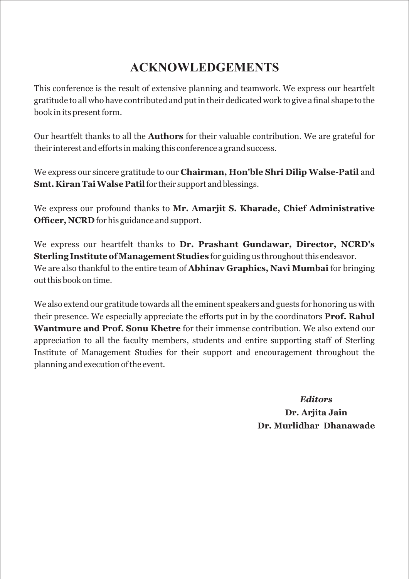# **ACKNOWLEDGEMENTS**

This conference is the result of extensive planning and teamwork. We express our heartfelt gratitude to all who have contributed and put in their dedicated work to give a final shape to the book in its present form.

Our heartfelt thanks to all the **Authors** for their valuable contribution. We are grateful for their interest and efforts in making this conference a grand success.

We express our sincere gratitude to our **Chairman, Hon'ble Shri Dilip Walse-Patil** and **Smt. Kiran Tai Walse Patil**for their support and blessings.

We express our profound thanks to **Mr. Amarjit S. Kharade, Chief Administrative Officer, NCRD** for his guidance and support.

We express our heartfelt thanks to **Dr. Prashant Gundawar, Director, NCRD's Sterling Institute of Management Studies** for guiding us throughout this endeavor. We are also thankful to the entire team of **Abhinav Graphics, Navi Mumbai** for bringing out this book on time.

We also extend our gratitude towards all the eminent speakers and guests for honoring us with their presence. We especially appreciate the efforts put in by the coordinators **Prof. Rahul Wantmure and Prof. Sonu Khetre** for their immense contribution. We also extend our appreciation to all the faculty members, students and entire supporting staff of Sterling Institute of Management Studies for their support and encouragement throughout the planning and execution of the event.

> *Editors* **Dr. Arjita Jain Dr. Murlidhar Dhanawade**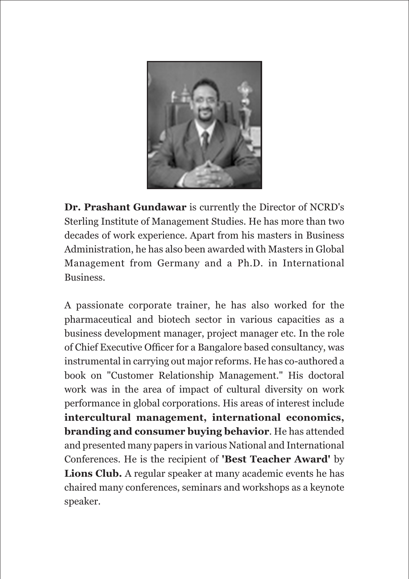

**Dr. Prashant Gundawar** is currently the Director of NCRD's Sterling Institute of Management Studies. He has more than two decades of work experience. Apart from his masters in Business Administration, he has also been awarded with Masters in Global Management from Germany and a Ph.D. in International Business.

A passionate corporate trainer, he has also worked for the pharmaceutical and biotech sector in various capacities as a business development manager, project manager etc. In the role of Chief Executive Officer for a Bangalore based consultancy, was instrumental in carrying out major reforms. He has co-authored a book on "Customer Relationship Management." His doctoral work was in the area of impact of cultural diversity on work performance in global corporations. His areas of interest include **intercultural management, international economics, branding and consumer buying behavior**. He has attended and presented many papers in various National and International Conferences. He is the recipient of **'Best Teacher Award'** by **Lions Club.** A regular speaker at many academic events he has chaired many conferences, seminars and workshops as a keynote speaker.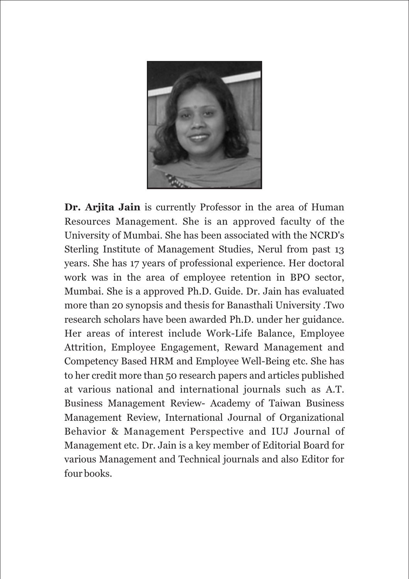

**Dr. Arjita Jain** is currently Professor in the area of Human Resources Management. She is an approved faculty of the University of Mumbai. She has been associated with the NCRD's Sterling Institute of Management Studies, Nerul from past 13 years. She has 17 years of professional experience. Her doctoral work was in the area of employee retention in BPO sector, Mumbai. She is a approved Ph.D. Guide. Dr. Jain has evaluated more than 20 synopsis and thesis for Banasthali University .Two research scholars have been awarded Ph.D. under her guidance. Her areas of interest include Work-Life Balance, Employee Attrition, Employee Engagement, Reward Management and Competency Based HRM and Employee Well-Being etc. She has to her credit more than 50 research papers and articles published at various national and international journals such as A.T. Business Management Review- Academy of Taiwan Business Management Review, International Journal of Organizational Behavior & Management Perspective and IUJ Journal of Management etc. Dr. Jain is a key member of Editorial Board for various Management and Technical journals and also Editor for four books.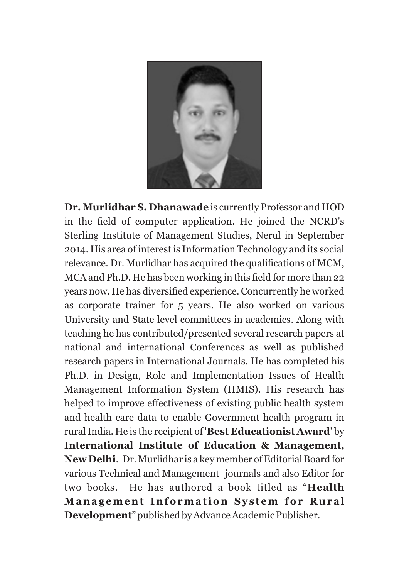

**Dr. Murlidhar S. Dhanawade** is currently Professor and HOD in the field of computer application. He joined the NCRD's Sterling Institute of Management Studies, Nerul in September 2014. His area of interest is Information Technology and its social relevance. Dr. Murlidhar has acquired the qualifications of MCM, MCA and Ph.D. He has been working in this field for more than 22 years now. He has diversified experience. Concurrently he worked as corporate trainer for 5 years. He also worked on various University and State level committees in academics. Along with teaching he has contributed/presented several research papers at national and international Conferences as well as published research papers in International Journals. He has completed his Ph.D. in Design, Role and Implementation Issues of Health Management Information System (HMIS). His research has helped to improve effectiveness of existing public health system and health care data to enable Government health program in rural India. He is the recipient of '**Best Educationist Award**' by **International Institute of Education & Management, New Delhi**. Dr. Murlidhar is a key member of Editorial Board for various Technical and Management journals and also Editor for two books. He has authored a book titled as "**Health Manag ement Information Sy s t em for Rural Development**" published by Advance Academic Publisher.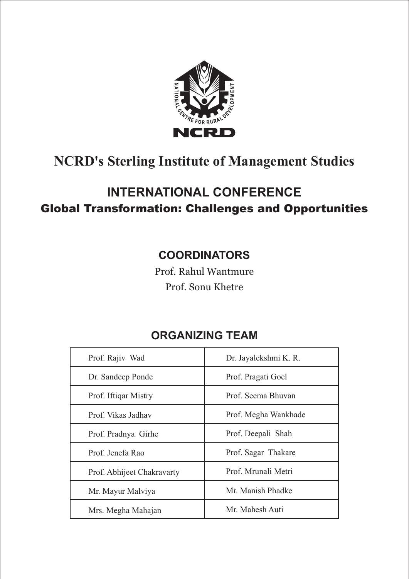

# **NCRD's Sterling Institute of Management Studies**

# **INTERNATIONAL CONFERENCE**  Global Transformation: Challenges and Opportunities

# **COORDINATORS**

Prof. Rahul Wantmure Prof. Sonu Khetre

# **ORGANIZING TEAM**

| Dr. Jayalekshmi K. R. |
|-----------------------|
| Prof. Pragati Goel    |
| Prof. Seema Bhuvan    |
| Prof. Megha Wankhade  |
| Prof. Deepali Shah    |
| Prof. Sagar Thakare   |
| Prof. Mrunali Metri   |
| Mr. Manish Phadke     |
| Mr. Mahesh Auti       |
|                       |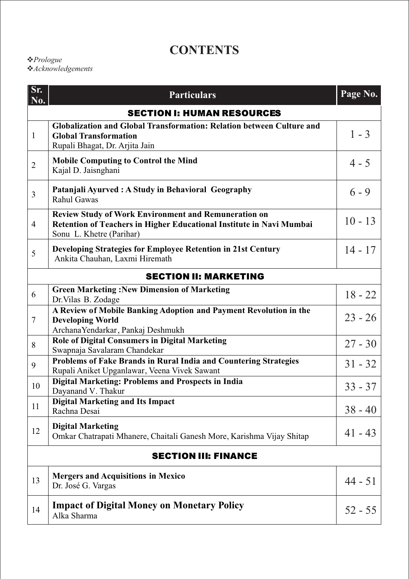# **CONTENTS**

### *Prologue*

*Acknowledgements*

| Sr.<br>No.                        | <b>Particulars</b>                                                                                                                                              | Page No.  |  |  |
|-----------------------------------|-----------------------------------------------------------------------------------------------------------------------------------------------------------------|-----------|--|--|
| <b>SECTION I: HUMAN RESOURCES</b> |                                                                                                                                                                 |           |  |  |
| $\mathbf{1}$                      | Globalization and Global Transformation: Relation between Culture and<br><b>Global Transformation</b><br>Rupali Bhagat, Dr. Arjita Jain                         | $1 - 3$   |  |  |
| $\overline{2}$                    | <b>Mobile Computing to Control the Mind</b><br>Kajal D. Jaisnghani                                                                                              | $4 - 5$   |  |  |
| $\overline{3}$                    | Patanjali Ayurved: A Study in Behavioral Geography<br>Rahul Gawas                                                                                               | $6 - 9$   |  |  |
| $\overline{4}$                    | <b>Review Study of Work Environment and Remuneration on</b><br>Retention of Teachers in Higher Educational Institute in Navi Mumbai<br>Sonu L. Khetre (Parihar) | $10 - 13$ |  |  |
| 5                                 | Developing Strategies for Employee Retention in 21st Century<br>Ankita Chauhan, Laxmi Hiremath                                                                  | $14 - 17$ |  |  |
| <b>SECTION II: MARKETING</b>      |                                                                                                                                                                 |           |  |  |
| 6                                 | <b>Green Marketing: New Dimension of Marketing</b><br>Dr. Vilas B. Zodage                                                                                       | $18 - 22$ |  |  |
| $\overline{7}$                    | A Review of Mobile Banking Adoption and Payment Revolution in the<br><b>Developing World</b><br>ArchanaYendarkar, Pankaj Deshmukh                               | $23 - 26$ |  |  |
| 8                                 | Role of Digital Consumers in Digital Marketing<br>Swapnaja Savalaram Chandekar                                                                                  | $27 - 30$ |  |  |
| 9                                 | Problems of Fake Brands in Rural India and Countering Strategies<br>Rupali Aniket Upganlawar, Veena Vivek Sawant                                                | $31 - 32$ |  |  |
| 10                                | Digital Marketing: Problems and Prospects in India<br>Dayanand V. Thakur                                                                                        | $33 - 37$ |  |  |
| 11                                | <b>Digital Marketing and Its Impact</b><br>Rachna Desai                                                                                                         | $38 - 40$ |  |  |
| 12                                | <b>Digital Marketing</b><br>Omkar Chatrapati Mhanere, Chaitali Ganesh More, Karishma Vijay Shitap                                                               | $41 - 43$ |  |  |
| <b>SECTION III: FINANCE</b>       |                                                                                                                                                                 |           |  |  |
| 13                                | <b>Mergers and Acquisitions in Mexico</b><br>Dr. José G. Vargas                                                                                                 | $44 - 51$ |  |  |
| 14                                | <b>Impact of Digital Money on Monetary Policy</b><br>Alka Sharma                                                                                                | $52 - 55$ |  |  |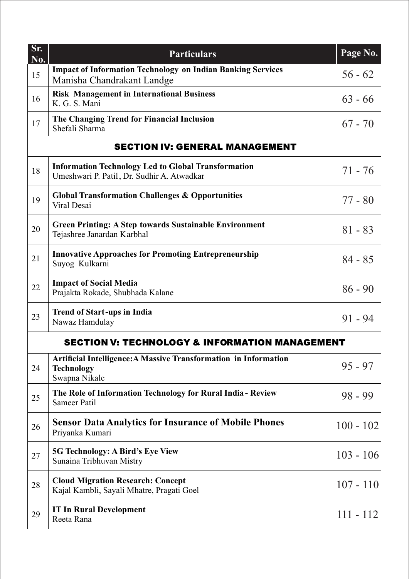| Sr.<br>No.                                                | <b>Particulars</b>                                                                                       | Page No.    |  |  |
|-----------------------------------------------------------|----------------------------------------------------------------------------------------------------------|-------------|--|--|
| 15                                                        | <b>Impact of Information Technology on Indian Banking Services</b><br>Manisha Chandrakant Landge         | $56 - 62$   |  |  |
| 16                                                        | <b>Risk Management in International Business</b><br>K. G. S. Mani                                        | $63 - 66$   |  |  |
| 17                                                        | The Changing Trend for Financial Inclusion<br>Shefali Sharma                                             | $67 - 70$   |  |  |
| <b>SECTION IV: GENERAL MANAGEMENT</b>                     |                                                                                                          |             |  |  |
| 18                                                        | <b>Information Technology Led to Global Transformation</b><br>Umeshwari P. Patil, Dr. Sudhir A. Atwadkar | $71 - 76$   |  |  |
| 19                                                        | <b>Global Transformation Challenges &amp; Opportunities</b><br>Viral Desai                               | $77 - 80$   |  |  |
| 20                                                        | <b>Green Printing: A Step towards Sustainable Environment</b><br>Tejashree Janardan Karbhal              | $81 - 83$   |  |  |
| 21                                                        | <b>Innovative Approaches for Promoting Entrepreneurship</b><br>Suyog Kulkarni                            | $84 - 85$   |  |  |
| 22                                                        | <b>Impact of Social Media</b><br>Prajakta Rokade, Shubhada Kalane                                        | $86 - 90$   |  |  |
| 23                                                        | <b>Trend of Start-ups in India</b><br>Nawaz Hamdulay                                                     | $91 - 94$   |  |  |
| <b>SECTION V: TECHNOLOGY &amp; INFORMATION MANAGEMENT</b> |                                                                                                          |             |  |  |
| 24                                                        | Artificial Intelligence: A Massive Transformation in Information<br><b>Technology</b><br>Swapna Nikale   | $95 - 97$   |  |  |
| 25                                                        | The Role of Information Technology for Rural India - Review<br>Sameer Patil                              | $98 - 99$   |  |  |
| 26                                                        | <b>Sensor Data Analytics for Insurance of Mobile Phones</b><br>Priyanka Kumari                           | $100 - 102$ |  |  |
| 27                                                        | <b>5G Technology: A Bird's Eye View</b><br>Sunaina Tribhuvan Mistry                                      | $103 - 106$ |  |  |
| 28                                                        | <b>Cloud Migration Research: Concept</b><br>Kajal Kambli, Sayali Mhatre, Pragati Goel                    | $107 - 110$ |  |  |
| 29                                                        | <b>IT In Rural Development</b><br>Reeta Rana                                                             | $111 - 112$ |  |  |